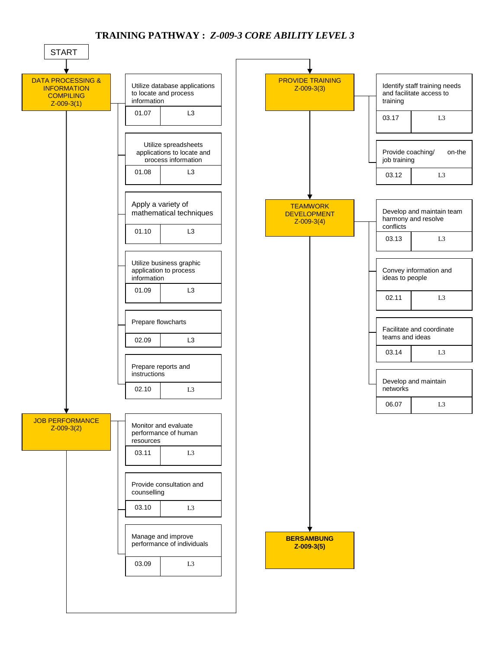## **TRAINING PATHWAY :** *Z-009-3 CORE ABILITY LEVEL 3*